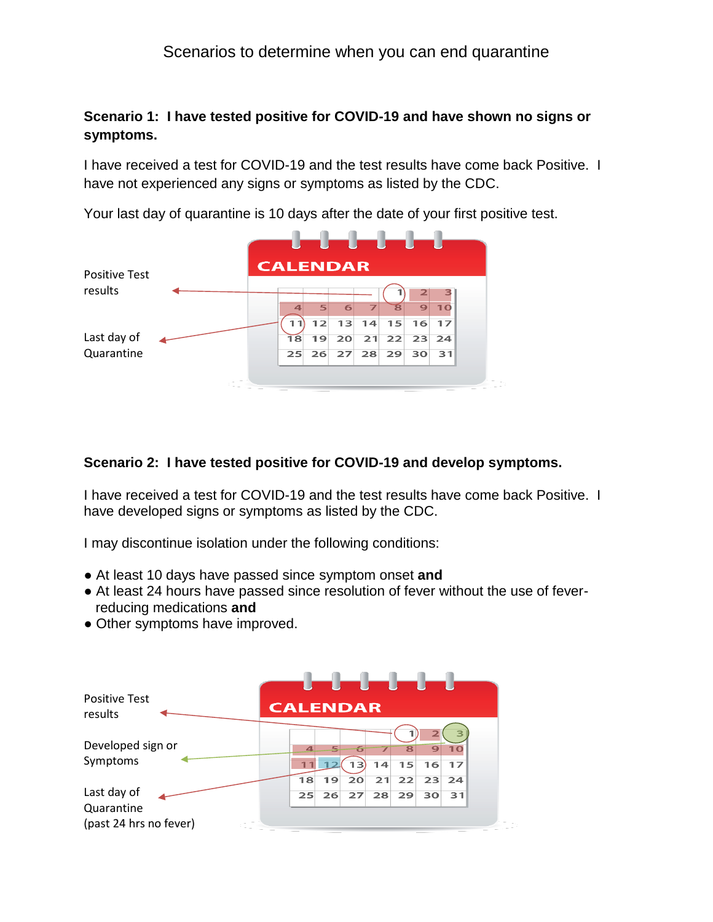# Scenarios to determine when you can end quarantine

## **Scenario 1: I have tested positive for COVID-19 and have shown no signs or symptoms.**

I have received a test for COVID-19 and the test results have come back Positive. I have not experienced any signs or symptoms as listed by the CDC.

Your last day of quarantine is 10 days after the date of your first positive test.



#### **Scenario 2: I have tested positive for COVID-19 and develop symptoms.**

I have received a test for COVID-19 and the test results have come back Positive. I have developed signs or symptoms as listed by the CDC.

I may discontinue isolation under the following conditions:

- At least 10 days have passed since symptom onset **and**
- At least 24 hours have passed since resolution of fever without the use of feverreducing medications **and**
- Other symptoms have improved.

| <b>Positive Test</b><br>results      | <b>CALENDAR</b>         |          |          |          |                               |                                    |                       |  |
|--------------------------------------|-------------------------|----------|----------|----------|-------------------------------|------------------------------------|-----------------------|--|
| Developed sign or<br>Symptoms        | $\overline{\mathbf{A}}$ | 5        | 6<br>13  | 14       | $\overline{\mathbf{8}}$<br>15 | $\overline{\mathbf{z}}$<br>9<br>16 | 10<br>17              |  |
| Last day of                          | 18<br>25                | 19<br>26 | 20<br>27 | 21<br>28 | 29                            | 22 23<br>30                        | 24<br>$\overline{31}$ |  |
| Quarantine<br>(past 24 hrs no fever) |                         |          |          |          |                               |                                    |                       |  |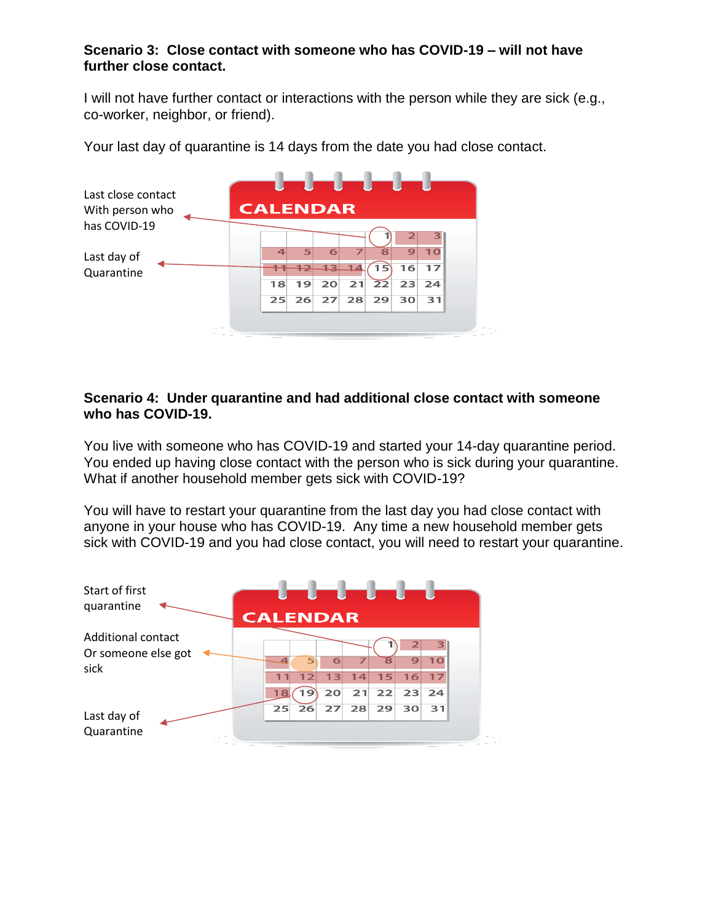### **Scenario 3: Close contact with someone who has COVID-19 – will not have further close contact.**

I will not have further contact or interactions with the person while they are sick (e.g., co-worker, neighbor, or friend).

Your last day of quarantine is 14 days from the date you had close contact.



### **Scenario 4: Under quarantine and had additional close contact with someone who has COVID-19.**

You live with someone who has COVID-19 and started your 14-day quarantine period. You ended up having close contact with the person who is sick during your quarantine. What if another household member gets sick with COVID-19?

You will have to restart your quarantine from the last day you had close contact with anyone in your house who has COVID-19. Any time a new household member gets sick with COVID-19 and you had close contact, you will need to restart your quarantine.